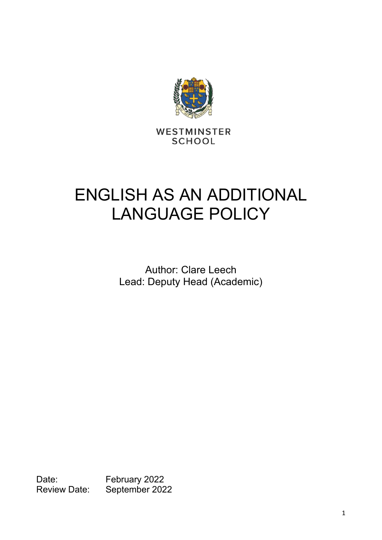

WESTMINSTER **SCHOOL** 

# ENGLISH AS AN ADDITIONAL LANGUAGE POLICY

Author: Clare Leech Lead: Deputy Head (Academic)

Date: February 2022<br>Review Date: September 202 September 2022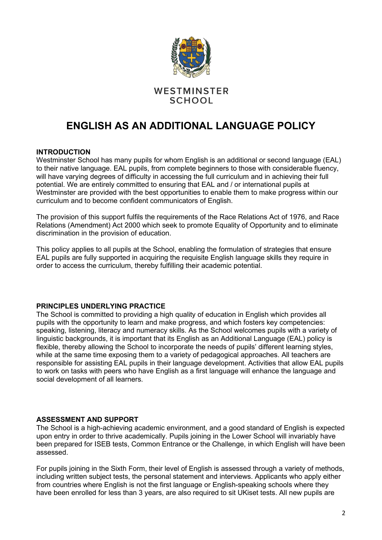

### WESTMINSTER **SCHOOL**

## **ENGLISH AS AN ADDITIONAL LANGUAGE POLICY**

#### **INTRODUCTION**

Westminster School has many pupils for whom English is an additional or second language (EAL) to their native language. EAL pupils, from complete beginners to those with considerable fluency, will have varying degrees of difficulty in accessing the full curriculum and in achieving their full potential. We are entirely committed to ensuring that EAL and / or international pupils at Westminster are provided with the best opportunities to enable them to make progress within our curriculum and to become confident communicators of English.

The provision of this support fulfils the requirements of the Race Relations Act of 1976, and Race Relations (Amendment) Act 2000 which seek to promote Equality of Opportunity and to eliminate discrimination in the provision of education.

This policy applies to all pupils at the School, enabling the formulation of strategies that ensure EAL pupils are fully supported in acquiring the requisite English language skills they require in order to access the curriculum, thereby fulfilling their academic potential.

#### **PRINCIPLES UNDERLYING PRACTICE**

The School is committed to providing a high quality of education in English which provides all pupils with the opportunity to learn and make progress, and which fosters key competencies: speaking, listening, literacy and numeracy skills. As the School welcomes pupils with a variety of linguistic backgrounds, it is important that its English as an Additional Language (EAL) policy is flexible, thereby allowing the School to incorporate the needs of pupils' different learning styles, while at the same time exposing them to a variety of pedagogical approaches. All teachers are responsible for assisting EAL pupils in their language development. Activities that allow EAL pupils to work on tasks with peers who have English as a first language will enhance the language and social development of all learners.

#### **ASSESSMENT AND SUPPORT**

The School is a high-achieving academic environment, and a good standard of English is expected upon entry in order to thrive academically. Pupils joining in the Lower School will invariably have been prepared for ISEB tests, Common Entrance or the Challenge, in which English will have been assessed.

For pupils joining in the Sixth Form, their level of English is assessed through a variety of methods, including written subject tests, the personal statement and interviews. Applicants who apply either from countries where English is not the first language or English-speaking schools where they have been enrolled for less than 3 years, are also required to sit UKiset tests. All new pupils are